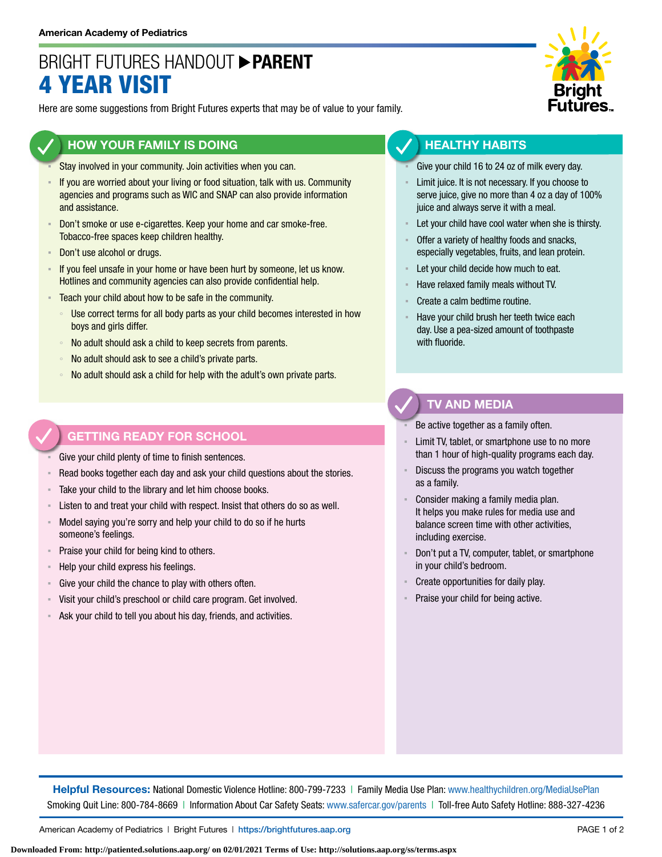## BRIGHT FUTURES HANDOUT **PARENT** 4 YEAR VISIT

Here are some suggestions from Bright Futures experts that may be of value to your family.

### **HOW YOUR FAMILY IS DOING**

- Stay involved in your community. Join activities when you can.
- If you are worried about your living or food situation, talk with us. Community agencies and programs such as WIC and SNAP can also provide information and assistance.
- **Don't smoke or use e-cigarettes. Keep your home and car smoke-free.** Tobacco-free spaces keep children healthy.
- Don't use alcohol or drugs.
- **EXED 15 If you feel unsafe in your home or have been hurt by someone, let us know.** Hotlines and community agencies can also provide confidential help.
- **EXECO** F Teach your child about how to be safe in the community.
	- Use correct terms for all body parts as your child becomes interested in how boys and girls differ.
	- No adult should ask a child to keep secrets from parents.
	- No adult should ask to see a child's private parts.
	- No adult should ask a child for help with the adult's own private parts.

### **GETTING READY FOR SCHOOL**

Give your child plenty of time to finish sentences.

- Read books together each day and ask your child questions about the stories.
- Take your child to the library and let him choose books.
- Listen to and treat your child with respect. Insist that others do so as well.
- Model saying you're sorry and help your child to do so if he hurts someone's feelings.
- Praise your child for being kind to others.
- Help your child express his feelings.
- Give your child the chance to play with others often.
- Visit your child's preschool or child care program. Get involved.
- Ask your child to tell you about his day, friends, and activities.



### **HEALTHY HABITS**

- Give your child 16 to 24 oz of milk every day.
- Limit juice. It is not necessary. If you choose to serve juice, give no more than 4 oz a day of 100% juice and always serve it with a meal.
- Let your child have cool water when she is thirsty.
- Offer a variety of healthy foods and snacks, especially vegetables, fruits, and lean protein.
- Let your child decide how much to eat.
- Have relaxed family meals without TV.
- Create a calm bedtime routine.
- Have your child brush her teeth twice each day. Use a pea-sized amount of toothpaste with fluoride.

### **TV AND MEDIA**

Be active together as a family often.

- Limit TV, tablet, or smartphone use to no more than 1 hour of high-quality programs each day.
- Discuss the programs you watch together as a family.
- Consider making a family media plan. It helps you make rules for media use and balance screen time with other activities, including exercise.
- Don't put a TV, computer, tablet, or smartphone in your child's bedroom.
- Create opportunities for daily play.
- Praise your child for being active.

**Helpful Resources:** National Domestic Violence Hotline: 800-799-7233 | Family Media Use Plan: [www.healthychildren.org/MediaUsePlan](https://www.healthychildren.org/English/media/Pages/default.aspx) Smoking Quit Line: 800-784-8669 | Information About Car Safety Seats: [www.safercar.gov/parents](https://www.nhtsa.gov/parents-and-caregivers) | Toll-free Auto Safety Hotline: 888-327-4236

American Academy of Pediatrics | Bright Futures | https://[brightfutures.aap.org](https://brightfutures.aap.org/Pages/default.aspx) PAGE 1 of 2